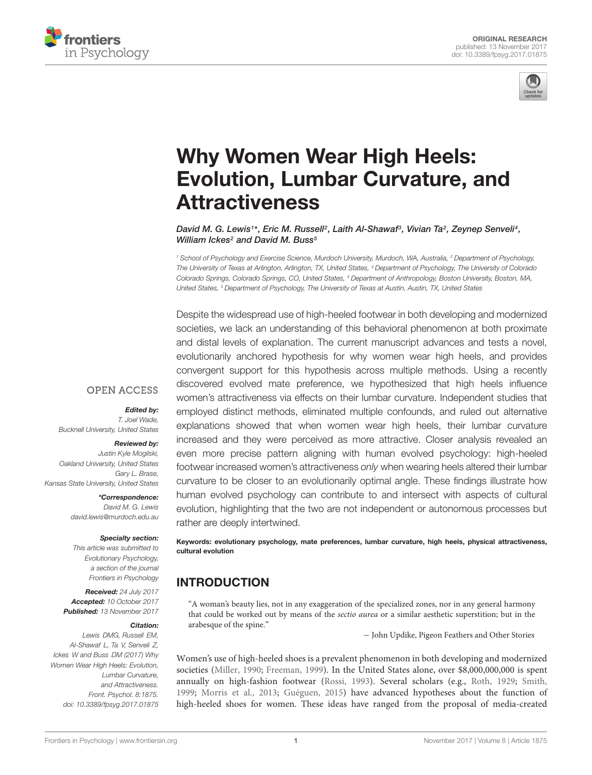



# Why Women Wear High Heels: [Evolution, Lumbar Curvature, and](https://www.frontiersin.org/articles/10.3389/fpsyg.2017.01875/full) Attractiveness

[David M. G. Lewis](http://loop.frontiersin.org/people/445772/overview)1\*, [Eric M. Russell](http://loop.frontiersin.org/people/462658/overview)<sup>2</sup>, [Laith Al-Shawaf](http://loop.frontiersin.org/people/425384/overview)<sup>3</sup>, Vivian Ta<sup>2</sup>, [Zeynep Senveli](http://loop.frontiersin.org/people/460106/overview)<sup>4</sup>, [William Ickes](http://loop.frontiersin.org/people/21707/overview)<sup>2</sup> and [David M. Buss](http://loop.frontiersin.org/people/488851/overview)<sup>5</sup>

<sup>1</sup> School of Psychology and Exercise Science, Murdoch University, Murdoch, WA, Australia, <sup>2</sup> Department of Psychology, The University of Texas at Arlington, Arlington, TX, United States, <sup>3</sup> Department of Psychology, The University of Colorado Colorado Springs, Colorado Springs, CO, United States, <sup>4</sup> Department of Anthropology, Boston University, Boston, MA, United States, <sup>5</sup> Department of Psychology, The University of Texas at Austin, Austin, TX, United States

Despite the widespread use of high-heeled footwear in both developing and modernized societies, we lack an understanding of this behavioral phenomenon at both proximate and distal levels of explanation. The current manuscript advances and tests a novel, evolutionarily anchored hypothesis for why women wear high heels, and provides convergent support for this hypothesis across multiple methods. Using a recently discovered evolved mate preference, we hypothesized that high heels influence women's attractiveness via effects on their lumbar curvature. Independent studies that employed distinct methods, eliminated multiple confounds, and ruled out alternative explanations showed that when women wear high heels, their lumbar curvature increased and they were perceived as more attractive. Closer analysis revealed an even more precise pattern aligning with human evolved psychology: high-heeled footwear increased women's attractiveness only when wearing heels altered their lumbar curvature to be closer to an evolutionarily optimal angle. These findings illustrate how human evolved psychology can contribute to and intersect with aspects of cultural evolution, highlighting that the two are not independent or autonomous processes but rather are deeply intertwined.

Keywords: evolutionary psychology, mate preferences, lumbar curvature, high heels, physical attractiveness, cultural evolution

## INTRODUCTION

"A woman's beauty lies, not in any exaggeration of the specialized zones, nor in any general harmony that could be worked out by means of the sectio aurea or a similar aesthetic superstition; but in the arabesque of the spine."

− John Updike, Pigeon Feathers and Other Stories

Women's use of high-heeled shoes is a prevalent phenomenon in both developing and modernized societies [\(Miller,](#page-6-0) [1990;](#page-6-0) [Freeman,](#page-6-1) [1999\)](#page-6-1). In the United States alone, over \$8,000,000,000 is spent annually on high-fashion footwear [\(Rossi,](#page-6-2) [1993\)](#page-6-2). Several scholars (e.g., [Roth,](#page-6-3) [1929;](#page-6-3) [Smith,](#page-6-4) [1999;](#page-6-4) [Morris et al.,](#page-6-5) [2013;](#page-6-5) [Guéguen,](#page-6-6) [2015\)](#page-6-6) have advanced hypotheses about the function of high-heeled shoes for women. These ideas have ranged from the proposal of media-created

## **OPEN ACCESS**

Edited by:

T. Joel Wade, Bucknell University, United States

#### Reviewed by:

Justin Kyle Mogilski, Oakland University, United States Gary L. Brase Kansas State University, United States

> \*Correspondence: David M. G. Lewis david.lewis@murdoch.edu.au

#### Specialty section:

This article was submitted to Evolutionary Psychology, a section of the journal Frontiers in Psychology

Received: 24 July 2017 Accepted: 10 October 2017 Published: 13 November 2017

#### Citation:

Lewis DMG, Russell EM, Al-Shawaf L, Ta V, Senveli Z, Ickes W and Buss DM (2017) Why Women Wear High Heels: Evolution, Lumbar Curvature, and Attractiveness. Front. Psychol. 8:1875. doi: [10.3389/fpsyg.2017.01875](https://doi.org/10.3389/fpsyg.2017.01875)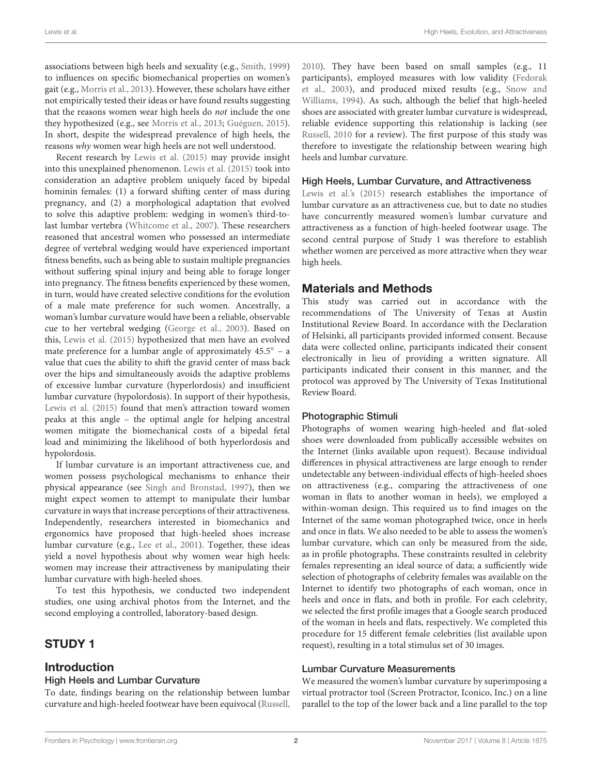associations between high heels and sexuality (e.g., [Smith,](#page-6-4) [1999\)](#page-6-4) to influences on specific biomechanical properties on women's gait (e.g., [Morris et al.,](#page-6-5) [2013\)](#page-6-5). However, these scholars have either not empirically tested their ideas or have found results suggesting that the reasons women wear high heels do not include the one they hypothesized (e.g., see [Morris et al.,](#page-6-5) [2013;](#page-6-5) [Guéguen,](#page-6-6) [2015\)](#page-6-6). In short, despite the widespread prevalence of high heels, the reasons why women wear high heels are not well understood.

Recent research by [Lewis et al.](#page-6-7) [\(2015\)](#page-6-7) may provide insight into this unexplained phenomenon. [Lewis et al.](#page-6-7) [\(2015\)](#page-6-7) took into consideration an adaptive problem uniquely faced by bipedal hominin females: (1) a forward shifting center of mass during pregnancy, and (2) a morphological adaptation that evolved to solve this adaptive problem: wedging in women's third-tolast lumbar vertebra [\(Whitcome et al.,](#page-6-8) [2007\)](#page-6-8). These researchers reasoned that ancestral women who possessed an intermediate degree of vertebral wedging would have experienced important fitness benefits, such as being able to sustain multiple pregnancies without suffering spinal injury and being able to forage longer into pregnancy. The fitness benefits experienced by these women, in turn, would have created selective conditions for the evolution of a male mate preference for such women. Ancestrally, a woman's lumbar curvature would have been a reliable, observable cue to her vertebral wedging [\(George et al.,](#page-6-9) [2003\)](#page-6-9). Based on this, [Lewis et al.](#page-6-7) [\(2015\)](#page-6-7) hypothesized that men have an evolved mate preference for a lumbar angle of approximately  $45.5° - a$ value that cues the ability to shift the gravid center of mass back over the hips and simultaneously avoids the adaptive problems of excessive lumbar curvature (hyperlordosis) and insufficient lumbar curvature (hypolordosis). In support of their hypothesis, [Lewis et al.](#page-6-7) [\(2015\)](#page-6-7) found that men's attraction toward women peaks at this angle – the optimal angle for helping ancestral women mitigate the biomechanical costs of a bipedal fetal load and minimizing the likelihood of both hyperlordosis and hypolordosis.

If lumbar curvature is an important attractiveness cue, and women possess psychological mechanisms to enhance their physical appearance (see [Singh and Bronstad,](#page-6-10) [1997\)](#page-6-10), then we might expect women to attempt to manipulate their lumbar curvature in ways that increase perceptions of their attractiveness. Independently, researchers interested in biomechanics and ergonomics have proposed that high-heeled shoes increase lumbar curvature (e.g., [Lee et al.,](#page-6-11) [2001\)](#page-6-11). Together, these ideas yield a novel hypothesis about why women wear high heels: women may increase their attractiveness by manipulating their lumbar curvature with high-heeled shoes.

To test this hypothesis, we conducted two independent studies, one using archival photos from the Internet, and the second employing a controlled, laboratory-based design.

## STUDY 1

## Introduction

#### High Heels and Lumbar Curvature

To date, findings bearing on the relationship between lumbar curvature and high-heeled footwear have been equivocal [\(Russell,](#page-6-12)

[2010\)](#page-6-12). They have been based on small samples (e.g., 11 participants), employed measures with low validity [\(Fedorak](#page-6-13) [et al.,](#page-6-13) [2003\)](#page-6-13), and produced mixed results (e.g., [Snow and](#page-6-14) [Williams,](#page-6-14) [1994\)](#page-6-14). As such, although the belief that high-heeled shoes are associated with greater lumbar curvature is widespread, reliable evidence supporting this relationship is lacking (see [Russell,](#page-6-12) [2010](#page-6-12) for a review). The first purpose of this study was therefore to investigate the relationship between wearing high heels and lumbar curvature.

#### High Heels, Lumbar Curvature, and Attractiveness

[Lewis et al.'](#page-6-7)s [\(2015\)](#page-6-7) research establishes the importance of lumbar curvature as an attractiveness cue, but to date no studies have concurrently measured women's lumbar curvature and attractiveness as a function of high-heeled footwear usage. The second central purpose of Study 1 was therefore to establish whether women are perceived as more attractive when they wear high heels.

## Materials and Methods

This study was carried out in accordance with the recommendations of The University of Texas at Austin Institutional Review Board. In accordance with the Declaration of Helsinki, all participants provided informed consent. Because data were collected online, participants indicated their consent electronically in lieu of providing a written signature. All participants indicated their consent in this manner, and the protocol was approved by The University of Texas Institutional Review Board.

#### Photographic Stimuli

Photographs of women wearing high-heeled and flat-soled shoes were downloaded from publically accessible websites on the Internet (links available upon request). Because individual differences in physical attractiveness are large enough to render undetectable any between-individual effects of high-heeled shoes on attractiveness (e.g., comparing the attractiveness of one woman in flats to another woman in heels), we employed a within-woman design. This required us to find images on the Internet of the same woman photographed twice, once in heels and once in flats. We also needed to be able to assess the women's lumbar curvature, which can only be measured from the side, as in profile photographs. These constraints resulted in celebrity females representing an ideal source of data; a sufficiently wide selection of photographs of celebrity females was available on the Internet to identify two photographs of each woman, once in heels and once in flats, and both in profile. For each celebrity, we selected the first profile images that a Google search produced of the woman in heels and flats, respectively. We completed this procedure for 15 different female celebrities (list available upon request), resulting in a total stimulus set of 30 images.

## Lumbar Curvature Measurements

We measured the women's lumbar curvature by superimposing a virtual protractor tool (Screen Protractor, Iconico, Inc.) on a line parallel to the top of the lower back and a line parallel to the top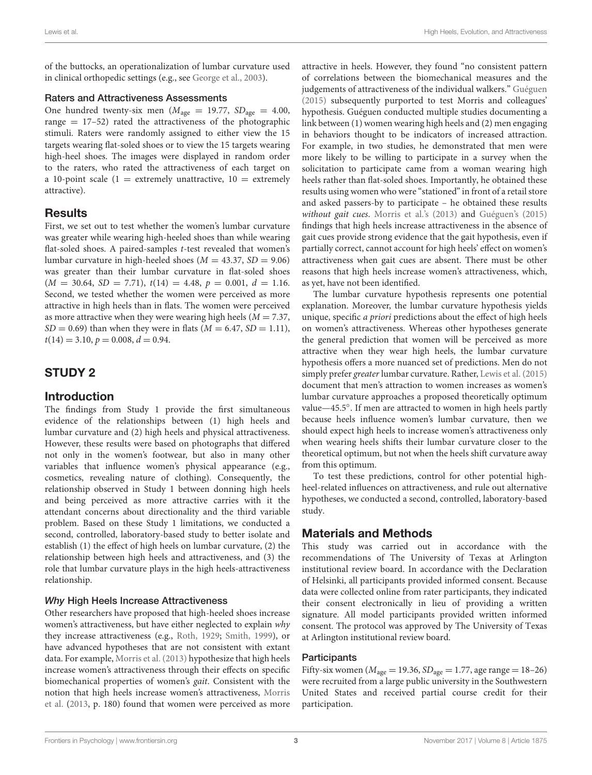of the buttocks, an operationalization of lumbar curvature used in clinical orthopedic settings (e.g., see [George et al.,](#page-6-9) [2003\)](#page-6-9).

#### Raters and Attractiveness Assessments

One hundred twenty-six men ( $M_{\text{age}} = 19.77$ ,  $SD_{\text{age}} = 4.00$ , range  $= 17-52$ ) rated the attractiveness of the photographic stimuli. Raters were randomly assigned to either view the 15 targets wearing flat-soled shoes or to view the 15 targets wearing high-heel shoes. The images were displayed in random order to the raters, who rated the attractiveness of each target on a 10-point scale (1 = extremely unattractive,  $10 =$  extremely attractive).

## **Results**

First, we set out to test whether the women's lumbar curvature was greater while wearing high-heeled shoes than while wearing flat-soled shoes. A paired-samples t-test revealed that women's lumbar curvature in high-heeled shoes ( $M = 43.37$ ,  $SD = 9.06$ ) was greater than their lumbar curvature in flat-soled shoes  $(M = 30.64, SD = 7.71), t(14) = 4.48, p = 0.001, d = 1.16.$ Second, we tested whether the women were perceived as more attractive in high heels than in flats. The women were perceived as more attractive when they were wearing high heels  $(M = 7.37,$  $SD = 0.69$ ) than when they were in flats ( $M = 6.47$ ,  $SD = 1.11$ ),  $t(14) = 3.10, p = 0.008, d = 0.94.$ 

## STUDY 2

## Introduction

The findings from Study 1 provide the first simultaneous evidence of the relationships between (1) high heels and lumbar curvature and (2) high heels and physical attractiveness. However, these results were based on photographs that differed not only in the women's footwear, but also in many other variables that influence women's physical appearance (e.g., cosmetics, revealing nature of clothing). Consequently, the relationship observed in Study 1 between donning high heels and being perceived as more attractive carries with it the attendant concerns about directionality and the third variable problem. Based on these Study 1 limitations, we conducted a second, controlled, laboratory-based study to better isolate and establish (1) the effect of high heels on lumbar curvature, (2) the relationship between high heels and attractiveness, and (3) the role that lumbar curvature plays in the high heels-attractiveness relationship.

## Why High Heels Increase Attractiveness

Other researchers have proposed that high-heeled shoes increase women's attractiveness, but have either neglected to explain why they increase attractiveness (e.g., [Roth,](#page-6-3) [1929;](#page-6-3) [Smith,](#page-6-4) [1999\)](#page-6-4), or have advanced hypotheses that are not consistent with extant data. For example, [Morris et al.](#page-6-5) [\(2013\)](#page-6-5) hypothesize that high heels increase women's attractiveness through their effects on specific biomechanical properties of women's gait. Consistent with the notion that high heels increase women's attractiveness, [Morris](#page-6-5) [et al.](#page-6-5) [\(2013,](#page-6-5) p. 180) found that women were perceived as more

attractive in heels. However, they found "no consistent pattern of correlations between the biomechanical measures and the judgements of attractiveness of the individual walkers." [Guéguen](#page-6-6) [\(2015\)](#page-6-6) subsequently purported to test Morris and colleagues' hypothesis. Guéguen conducted multiple studies documenting a link between (1) women wearing high heels and (2) men engaging in behaviors thought to be indicators of increased attraction. For example, in two studies, he demonstrated that men were more likely to be willing to participate in a survey when the solicitation to participate came from a woman wearing high heels rather than flat-soled shoes. Importantly, he obtained these results using women who were "stationed" in front of a retail store and asked passers-by to participate – he obtained these results without gait cues. [Morris et al.'](#page-6-5)s [\(2013\)](#page-6-5) and [Guéguen'](#page-6-6)s [\(2015\)](#page-6-6) findings that high heels increase attractiveness in the absence of gait cues provide strong evidence that the gait hypothesis, even if partially correct, cannot account for high heels' effect on women's attractiveness when gait cues are absent. There must be other reasons that high heels increase women's attractiveness, which, as yet, have not been identified.

The lumbar curvature hypothesis represents one potential explanation. Moreover, the lumbar curvature hypothesis yields unique, specific a priori predictions about the effect of high heels on women's attractiveness. Whereas other hypotheses generate the general prediction that women will be perceived as more attractive when they wear high heels, the lumbar curvature hypothesis offers a more nuanced set of predictions. Men do not simply prefer greater lumbar curvature. Rather, [Lewis et al.](#page-6-7) [\(2015\)](#page-6-7) document that men's attraction to women increases as women's lumbar curvature approaches a proposed theoretically optimum value—45.5°. If men are attracted to women in high heels partly because heels influence women's lumbar curvature, then we should expect high heels to increase women's attractiveness only when wearing heels shifts their lumbar curvature closer to the theoretical optimum, but not when the heels shift curvature away from this optimum.

To test these predictions, control for other potential highheel-related influences on attractiveness, and rule out alternative hypotheses, we conducted a second, controlled, laboratory-based study.

## Materials and Methods

This study was carried out in accordance with the recommendations of The University of Texas at Arlington institutional review board. In accordance with the Declaration of Helsinki, all participants provided informed consent. Because data were collected online from rater participants, they indicated their consent electronically in lieu of providing a written signature. All model participants provided written informed consent. The protocol was approved by The University of Texas at Arlington institutional review board.

#### **Participants**

Fifty-six women ( $M_{\text{age}} = 19.36$ ,  $SD_{\text{age}} = 1.77$ , age range = 18-26) were recruited from a large public university in the Southwestern United States and received partial course credit for their participation.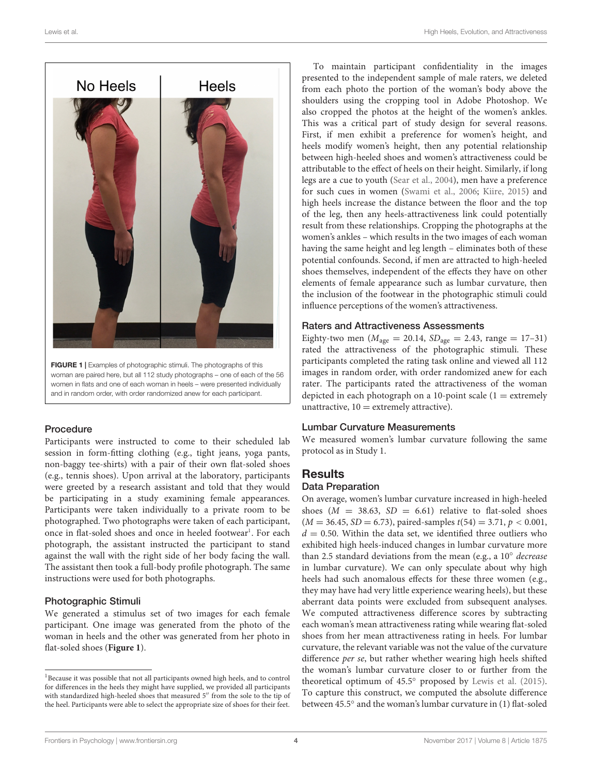

<span id="page-3-1"></span>woman are paired here, but all 112 study photographs – one of each of the 56 women in flats and one of each woman in heels – were presented individually and in random order, with order randomized anew for each participant.

#### Procedure

Participants were instructed to come to their scheduled lab session in form-fitting clothing (e.g., tight jeans, yoga pants, non-baggy tee-shirts) with a pair of their own flat-soled shoes (e.g., tennis shoes). Upon arrival at the laboratory, participants were greeted by a research assistant and told that they would be participating in a study examining female appearances. Participants were taken individually to a private room to be photographed. Two photographs were taken of each participant, once in flat-soled shoes and once in heeled footwear<sup>[1](#page-3-0)</sup>. For each photograph, the assistant instructed the participant to stand against the wall with the right side of her body facing the wall. The assistant then took a full-body profile photograph. The same instructions were used for both photographs.

#### Photographic Stimuli

We generated a stimulus set of two images for each female participant. One image was generated from the photo of the woman in heels and the other was generated from her photo in flat-soled shoes (**[Figure 1](#page-3-1)**).

To maintain participant confidentiality in the images presented to the independent sample of male raters, we deleted from each photo the portion of the woman's body above the shoulders using the cropping tool in Adobe Photoshop. We also cropped the photos at the height of the women's ankles. This was a critical part of study design for several reasons. First, if men exhibit a preference for women's height, and heels modify women's height, then any potential relationship between high-heeled shoes and women's attractiveness could be attributable to the effect of heels on their height. Similarly, if long legs are a cue to youth [\(Sear et al.,](#page-6-15) [2004\)](#page-6-15), men have a preference for such cues in women [\(Swami et al.,](#page-6-16) [2006;](#page-6-16) [Kiire,](#page-6-17) [2015\)](#page-6-17) and high heels increase the distance between the floor and the top of the leg, then any heels-attractiveness link could potentially result from these relationships. Cropping the photographs at the women's ankles – which results in the two images of each woman having the same height and leg length – eliminates both of these potential confounds. Second, if men are attracted to high-heeled shoes themselves, independent of the effects they have on other elements of female appearance such as lumbar curvature, then the inclusion of the footwear in the photographic stimuli could influence perceptions of the women's attractiveness.

#### Raters and Attractiveness Assessments

Eighty-two men ( $M_{\text{age}} = 20.14$ ,  $SD_{\text{age}} = 2.43$ , range = 17-31) rated the attractiveness of the photographic stimuli. These participants completed the rating task online and viewed all 112 images in random order, with order randomized anew for each rater. The participants rated the attractiveness of the woman depicted in each photograph on a 10-point scale  $(1 =$  extremely unattractive,  $10 =$  extremely attractive).

## Lumbar Curvature Measurements

We measured women's lumbar curvature following the same protocol as in Study 1.

#### **Results**

#### Data Preparation

On average, women's lumbar curvature increased in high-heeled shoes ( $M = 38.63$ ,  $SD = 6.61$ ) relative to flat-soled shoes  $(M = 36.45, SD = 6.73)$ , paired-samples  $t(54) = 3.71, p < 0.001$ ,  $d = 0.50$ . Within the data set, we identified three outliers who exhibited high heels-induced changes in lumbar curvature more than 2.5 standard deviations from the mean (e.g., a 10◦ decrease in lumbar curvature). We can only speculate about why high heels had such anomalous effects for these three women (e.g., they may have had very little experience wearing heels), but these aberrant data points were excluded from subsequent analyses. We computed attractiveness difference scores by subtracting each woman's mean attractiveness rating while wearing flat-soled shoes from her mean attractiveness rating in heels. For lumbar curvature, the relevant variable was not the value of the curvature difference per se, but rather whether wearing high heels shifted the woman's lumbar curvature closer to or further from the theoretical optimum of 45.5◦ proposed by [Lewis et al.](#page-6-7) [\(2015\)](#page-6-7). To capture this construct, we computed the absolute difference between 45.5◦ and the woman's lumbar curvature in (1) flat-soled

<span id="page-3-0"></span><sup>1</sup>Because it was possible that not all participants owned high heels, and to control for differences in the heels they might have supplied, we provided all participants with standardized high-heeled shoes that measured 5" from the sole to the tip of the heel. Participants were able to select the appropriate size of shoes for their feet.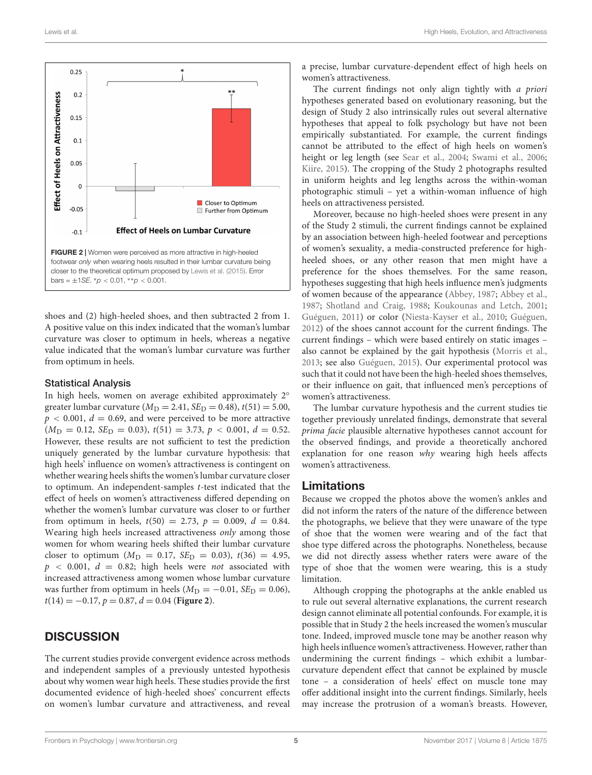

<span id="page-4-0"></span>shoes and (2) high-heeled shoes, and then subtracted 2 from 1. A positive value on this index indicated that the woman's lumbar curvature was closer to optimum in heels, whereas a negative value indicated that the woman's lumbar curvature was further from optimum in heels.

#### Statistical Analysis

In high heels, women on average exhibited approximately 2° greater lumbar curvature ( $M_D = 2.41$ ,  $SE_D = 0.48$ ),  $t(51) = 5.00$ ,  $p < 0.001$ ,  $d = 0.69$ , and were perceived to be more attractive  $(M_D = 0.12, SE_D = 0.03), t(51) = 3.73, p < 0.001, d = 0.52.$ However, these results are not sufficient to test the prediction uniquely generated by the lumbar curvature hypothesis: that high heels' influence on women's attractiveness is contingent on whether wearing heels shifts the women's lumbar curvature closer to optimum. An independent-samples t-test indicated that the effect of heels on women's attractiveness differed depending on whether the women's lumbar curvature was closer to or further from optimum in heels,  $t(50) = 2.73$ ,  $p = 0.009$ ,  $d = 0.84$ . Wearing high heels increased attractiveness only among those women for whom wearing heels shifted their lumbar curvature closer to optimum  $(M_D = 0.17, SE_D = 0.03)$ ,  $t(36) = 4.95$ ,  $p$  < 0.001,  $d$  = 0.82; high heels were not associated with increased attractiveness among women whose lumbar curvature was further from optimum in heels ( $M_D = -0.01$ ,  $SE_D = 0.06$ ),  $t(14) = -0.17, p = 0.87, d = 0.04$  (**[Figure 2](#page-4-0)**).

## **DISCUSSION**

The current studies provide convergent evidence across methods and independent samples of a previously untested hypothesis about why women wear high heels. These studies provide the first documented evidence of high-heeled shoes' concurrent effects on women's lumbar curvature and attractiveness, and reveal

a precise, lumbar curvature-dependent effect of high heels on women's attractiveness.

The current findings not only align tightly with a priori hypotheses generated based on evolutionary reasoning, but the design of Study 2 also intrinsically rules out several alternative hypotheses that appeal to folk psychology but have not been empirically substantiated. For example, the current findings cannot be attributed to the effect of high heels on women's height or leg length (see [Sear et al.,](#page-6-15) [2004;](#page-6-15) [Swami et al.,](#page-6-16) [2006;](#page-6-16) [Kiire,](#page-6-17) [2015\)](#page-6-17). The cropping of the Study 2 photographs resulted in uniform heights and leg lengths across the within-woman photographic stimuli – yet a within-woman influence of high heels on attractiveness persisted.

Moreover, because no high-heeled shoes were present in any of the Study 2 stimuli, the current findings cannot be explained by an association between high-heeled footwear and perceptions of women's sexuality, a media-constructed preference for highheeled shoes, or any other reason that men might have a preference for the shoes themselves. For the same reason, hypotheses suggesting that high heels influence men's judgments of women because of the appearance [\(Abbey,](#page-6-18) [1987;](#page-6-18) [Abbey et al.,](#page-6-19) [1987;](#page-6-19) [Shotland and Craig,](#page-6-20) [1988;](#page-6-20) [Koukounas and Letch,](#page-6-21) [2001;](#page-6-21) [Guéguen,](#page-6-22) [2011\)](#page-6-22) or color [\(Niesta-Kayser et al.,](#page-6-23) [2010;](#page-6-23) [Guéguen,](#page-6-24) [2012\)](#page-6-24) of the shoes cannot account for the current findings. The current findings – which were based entirely on static images – also cannot be explained by the gait hypothesis [\(Morris et al.,](#page-6-5) [2013;](#page-6-5) see also [Guéguen,](#page-6-6) [2015\)](#page-6-6). Our experimental protocol was such that it could not have been the high-heeled shoes themselves, or their influence on gait, that influenced men's perceptions of women's attractiveness.

The lumbar curvature hypothesis and the current studies tie together previously unrelated findings, demonstrate that several prima facie plausible alternative hypotheses cannot account for the observed findings, and provide a theoretically anchored explanation for one reason why wearing high heels affects women's attractiveness.

## Limitations

Because we cropped the photos above the women's ankles and did not inform the raters of the nature of the difference between the photographs, we believe that they were unaware of the type of shoe that the women were wearing and of the fact that shoe type differed across the photographs. Nonetheless, because we did not directly assess whether raters were aware of the type of shoe that the women were wearing, this is a study limitation.

Although cropping the photographs at the ankle enabled us to rule out several alternative explanations, the current research design cannot eliminate all potential confounds. For example, it is possible that in Study 2 the heels increased the women's muscular tone. Indeed, improved muscle tone may be another reason why high heels influence women's attractiveness. However, rather than undermining the current findings – which exhibit a lumbarcurvature dependent effect that cannot be explained by muscle tone – a consideration of heels' effect on muscle tone may offer additional insight into the current findings. Similarly, heels may increase the protrusion of a woman's breasts. However,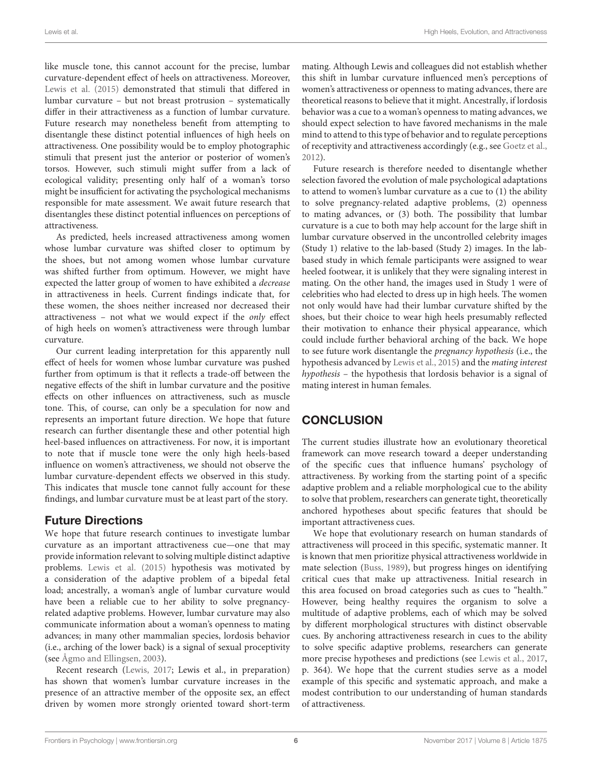like muscle tone, this cannot account for the precise, lumbar curvature-dependent effect of heels on attractiveness. Moreover, [Lewis et al.](#page-6-7) [\(2015\)](#page-6-7) demonstrated that stimuli that differed in lumbar curvature – but not breast protrusion – systematically differ in their attractiveness as a function of lumbar curvature. Future research may nonetheless benefit from attempting to disentangle these distinct potential influences of high heels on attractiveness. One possibility would be to employ photographic stimuli that present just the anterior or posterior of women's torsos. However, such stimuli might suffer from a lack of ecological validity; presenting only half of a woman's torso might be insufficient for activating the psychological mechanisms responsible for mate assessment. We await future research that disentangles these distinct potential influences on perceptions of attractiveness.

As predicted, heels increased attractiveness among women whose lumbar curvature was shifted closer to optimum by the shoes, but not among women whose lumbar curvature was shifted further from optimum. However, we might have expected the latter group of women to have exhibited a decrease in attractiveness in heels. Current findings indicate that, for these women, the shoes neither increased nor decreased their attractiveness – not what we would expect if the only effect of high heels on women's attractiveness were through lumbar curvature.

Our current leading interpretation for this apparently null effect of heels for women whose lumbar curvature was pushed further from optimum is that it reflects a trade-off between the negative effects of the shift in lumbar curvature and the positive effects on other influences on attractiveness, such as muscle tone. This, of course, can only be a speculation for now and represents an important future direction. We hope that future research can further disentangle these and other potential high heel-based influences on attractiveness. For now, it is important to note that if muscle tone were the only high heels-based influence on women's attractiveness, we should not observe the lumbar curvature-dependent effects we observed in this study. This indicates that muscle tone cannot fully account for these findings, and lumbar curvature must be at least part of the story.

## Future Directions

We hope that future research continues to investigate lumbar curvature as an important attractiveness cue—one that may provide information relevant to solving multiple distinct adaptive problems. [Lewis et al.](#page-6-7) [\(2015\)](#page-6-7) hypothesis was motivated by a consideration of the adaptive problem of a bipedal fetal load; ancestrally, a woman's angle of lumbar curvature would have been a reliable cue to her ability to solve pregnancyrelated adaptive problems. However, lumbar curvature may also communicate information about a woman's openness to mating advances; in many other mammalian species, lordosis behavior (i.e., arching of the lower back) is a signal of sexual proceptivity (see [Ågmo and Ellingsen,](#page-6-25) [2003\)](#page-6-25).

Recent research [\(Lewis,](#page-6-26) [2017;](#page-6-26) Lewis et al., in preparation) has shown that women's lumbar curvature increases in the presence of an attractive member of the opposite sex, an effect driven by women more strongly oriented toward short-term

mating. Although Lewis and colleagues did not establish whether this shift in lumbar curvature influenced men's perceptions of women's attractiveness or openness to mating advances, there are theoretical reasons to believe that it might. Ancestrally, if lordosis behavior was a cue to a woman's openness to mating advances, we should expect selection to have favored mechanisms in the male mind to attend to this type of behavior and to regulate perceptions of receptivity and attractiveness accordingly (e.g., see [Goetz et al.,](#page-6-27) [2012\)](#page-6-27).

Future research is therefore needed to disentangle whether selection favored the evolution of male psychological adaptations to attend to women's lumbar curvature as a cue to (1) the ability to solve pregnancy-related adaptive problems, (2) openness to mating advances, or (3) both. The possibility that lumbar curvature is a cue to both may help account for the large shift in lumbar curvature observed in the uncontrolled celebrity images (Study 1) relative to the lab-based (Study 2) images. In the labbased study in which female participants were assigned to wear heeled footwear, it is unlikely that they were signaling interest in mating. On the other hand, the images used in Study 1 were of celebrities who had elected to dress up in high heels. The women not only would have had their lumbar curvature shifted by the shoes, but their choice to wear high heels presumably reflected their motivation to enhance their physical appearance, which could include further behavioral arching of the back. We hope to see future work disentangle the pregnancy hypothesis (i.e., the hypothesis advanced by [Lewis et al.,](#page-6-7) [2015\)](#page-6-7) and the mating interest hypothesis – the hypothesis that lordosis behavior is a signal of mating interest in human females.

## **CONCLUSION**

The current studies illustrate how an evolutionary theoretical framework can move research toward a deeper understanding of the specific cues that influence humans' psychology of attractiveness. By working from the starting point of a specific adaptive problem and a reliable morphological cue to the ability to solve that problem, researchers can generate tight, theoretically anchored hypotheses about specific features that should be important attractiveness cues.

We hope that evolutionary research on human standards of attractiveness will proceed in this specific, systematic manner. It is known that men prioritize physical attractiveness worldwide in mate selection [\(Buss,](#page-6-28) [1989\)](#page-6-28), but progress hinges on identifying critical cues that make up attractiveness. Initial research in this area focused on broad categories such as cues to "health." However, being healthy requires the organism to solve a multitude of adaptive problems, each of which may be solved by different morphological structures with distinct observable cues. By anchoring attractiveness research in cues to the ability to solve specific adaptive problems, researchers can generate more precise hypotheses and predictions (see [Lewis et al.,](#page-6-29) [2017,](#page-6-29) p. 364). We hope that the current studies serve as a model example of this specific and systematic approach, and make a modest contribution to our understanding of human standards of attractiveness.